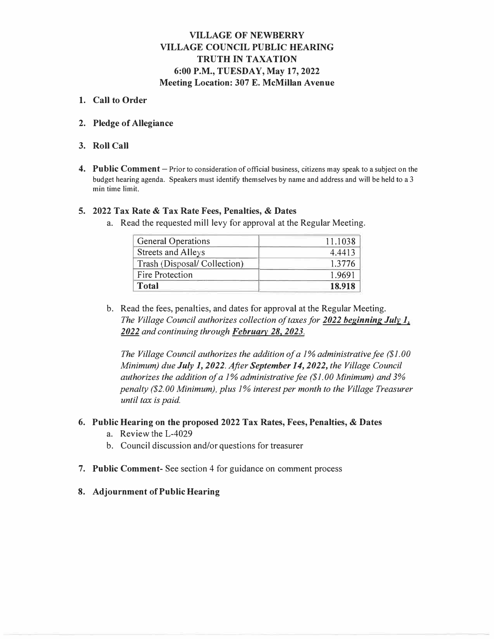### **VILLAGE OF NEWBERRY VILLAGE COUNCIL PUBLIC HEARING TRUTH IN TAXATION 6:00 P.M., TUESDAY, May 17, 2022 Meeting Location: 307 E. McMillan Avenue**

### **1. Call to Order**

**2. Pledge of Allegiance**

### **3. Roll Call**

**4. Public Comment -** Prior to consideration of official business, citizens may speak to a subject on the budget hearing agenda. Speakers must identify themselves by name and address and will be held to a 3 min time limit.

### **5. 2022 Tax Rate & Tax Rate Fees, Penalties, & Dates**

a. Read the requested mill levy for approval at the Regular Meeting.

| <b>General Operations</b>   | 11.1038 |
|-----------------------------|---------|
| Streets and Alleys          | 4.4413  |
| Trash (Disposal/Collection) | 1.3776  |
| <b>Fire Protection</b>      | 1.9691  |
| <b>Total</b>                | 18.918  |

b. Read the fees, penalties, and dates for approval at the Regular Meeting. *The Village Council authorizes collection of taxes for 2022 beginning Julv 1, 2022 and continuing through February 28, 2023.*

*The Village Council authorizes the addition of a 1* % *administrative fee (\$1. 00 Minimum) due July 1, 2022. After September 14, 2022, the Village Council authorizes the addition of a 1* % *administrative fee (\$1. 00 Minimum) and 3% penalty (\$2.00 Minimum), plus 1% interest per month to the Village Treasurer until tax is paid.*

### **6. Public Hearing on the proposed 2022 Tax Rates, Fees, Penalties,** & **Dates**

- a. Review the L-4029
- b. Council discussion and/or questions for treasurer
- **7. Public Comment-** See section 4 for guidance on comment process
- **8. Adjournment of Public Hearing**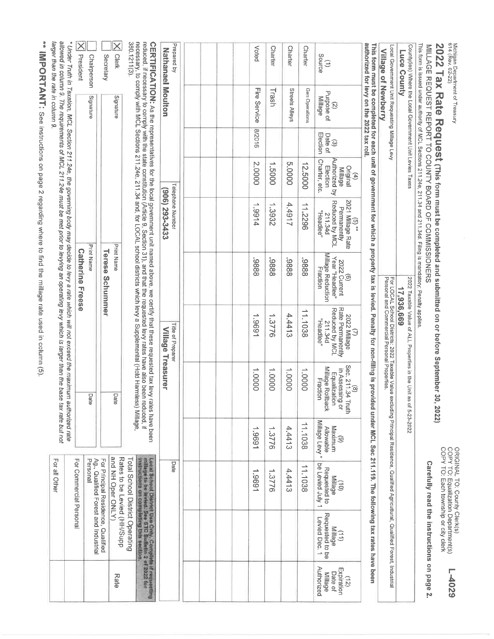|                                                        |                                                                                                                                                           |                                                                                                             |                                                         |                                                                                           | ** IMPORTANT: See instructions on page 2 regarding where to find the millage rate used in column (5).                                                                                                                                                               |                                                                        |                                                                                                                                                                                  |                                                                               |                                |                                                                      |                                                             |
|--------------------------------------------------------|-----------------------------------------------------------------------------------------------------------------------------------------------------------|-------------------------------------------------------------------------------------------------------------|---------------------------------------------------------|-------------------------------------------------------------------------------------------|---------------------------------------------------------------------------------------------------------------------------------------------------------------------------------------------------------------------------------------------------------------------|------------------------------------------------------------------------|----------------------------------------------------------------------------------------------------------------------------------------------------------------------------------|-------------------------------------------------------------------------------|--------------------------------|----------------------------------------------------------------------|-------------------------------------------------------------|
|                                                        |                                                                                                                                                           | For all Other                                                                                               | authorized rate<br>tax rate but not                     |                                                                                           | allowed in column 9. The requirements of MCL 211.24e must be met prior to levying an operating levy which is larger than the base<br>* Under Truth in Taxation, MCL Section 211.24e, the governing body may decide to levy a rate which will not exceed the maximum |                                                                        |                                                                                                                                                                                  |                                                                               |                                | larger than the rate in column 9.                                    |                                                             |
|                                                        |                                                                                                                                                           | <b>For Commercial Personal</b><br>Personal<br>Ag., Qualified Forest and Industrial                          |                                                         | Dal<br>ଡି                                                                                 |                                                                                                                                                                                                                                                                     | <b>Print Name</b><br><b>Catherine Freese</b>                           |                                                                                                                                                                                  |                                                                               |                                | Signature                                                            | $\times$<br>President<br>Chairperson                        |
| Rate                                                   |                                                                                                                                                           | and NH Oper ONLY)<br>For Principal Residence, Qualified                                                     |                                                         | Dai<br>त                                                                                  |                                                                                                                                                                                                                                                                     | <b>Print Name</b><br>Terese<br>Schummer                                |                                                                                                                                                                                  |                                                                               |                                | Signature                                                            | $\times$<br><b>Clerk</b><br>Secretary                       |
|                                                        |                                                                                                                                                           | Rates to be Levied (HH/Supp<br>Total School District Operating                                              |                                                         |                                                                                           |                                                                                                                                                                                                                                                                     |                                                                        |                                                                                                                                                                                  |                                                                               |                                |                                                                      | 380.1211(3).                                                |
|                                                        | Local School District Use Only, Complete if requesting<br>miliage to be leved. See STC Bulletin 2 of 2022 for<br>Instructions on completing this section, |                                                                                                             |                                                         |                                                                                           | CERTIFICATION: As the representatives for the local government unit named above, we certify that these requested tax levy rates have been<br>reduced, if necessary to comply with the state constitution (Article 9, Section 31),                                   |                                                                        |                                                                                                                                                                                  |                                                                               |                                |                                                                      |                                                             |
|                                                        |                                                                                                                                                           | <b>Date</b>                                                                                                 |                                                         | Treasurer                                                                                 | <b>Title of Preparer</b><br><b>Alllage</b>                                                                                                                                                                                                                          |                                                                        | Telephone Number<br>(306) 293-3433                                                                                                                                               |                                                                               |                                |                                                                      | Prepared by<br><b>Nathanael Moulton</b>                     |
|                                                        |                                                                                                                                                           |                                                                                                             |                                                         |                                                                                           |                                                                                                                                                                                                                                                                     |                                                                        |                                                                                                                                                                                  |                                                                               |                                |                                                                      |                                                             |
|                                                        |                                                                                                                                                           |                                                                                                             |                                                         |                                                                                           |                                                                                                                                                                                                                                                                     |                                                                        |                                                                                                                                                                                  |                                                                               |                                |                                                                      |                                                             |
|                                                        |                                                                                                                                                           | 1,9691                                                                                                      | 1,9691                                                  | 00001                                                                                     | 1.9691                                                                                                                                                                                                                                                              | 8886                                                                   | 1.9914                                                                                                                                                                           | 2.0000                                                                        | 8/2016                         | Fire Service                                                         | Voted                                                       |
|                                                        |                                                                                                                                                           | 1.3776                                                                                                      | 1.3776                                                  | 00001                                                                                     | 1.3776                                                                                                                                                                                                                                                              | 8886                                                                   | 1.3932                                                                                                                                                                           | 1.5000                                                                        |                                | Trash                                                                | <b>Charter</b>                                              |
|                                                        |                                                                                                                                                           | 4.4413                                                                                                      | 4.4413                                                  | 1.0000                                                                                    | 4.4413                                                                                                                                                                                                                                                              | 8886                                                                   | 4.4917                                                                                                                                                                           | 5.0000                                                                        |                                | Streets Alleys                                                       | Charter                                                     |
|                                                        |                                                                                                                                                           | 11.1038                                                                                                     | 11.1038                                                 | 1.0000                                                                                    | 11.1038                                                                                                                                                                                                                                                             | 8886                                                                   | 11.2296                                                                                                                                                                          | 12.5000                                                                       |                                | Gen Operations                                                       | Charter                                                     |
| Authorized<br>Expiration<br>Date of<br>Millage<br>(12) | Requested to be<br>Levied Dec. 1<br>Millage<br>$\left(11\right)$                                                                                          | be Levied July 1<br>Requested to<br><b>Millage</b><br>$\widehat{\Xi}$                                       | Millage Levy*<br>Maximum<br>Allowable<br>$\circledcirc$ | Sec. 211.34 Truth<br>Millage Rollback<br>in Assessing or<br>Equalization<br>Fraction<br>ම | Rate Permanently<br>Reduced by MCL<br>2022 Millage<br>"aelbear"<br>DPS: 112<br>З                                                                                                                                                                                    | Millage Reduction<br>Year "Headlee"<br>(6)<br>2022 Current<br>Fraction | Reduced by MCL<br>2021 Millage Rate<br>Permanently<br>"Headlee"<br>D46.112<br>$\mathfrak{S}$ $\rightarrow$                                                                       | Authorized by<br>Charter, etc.<br>Election<br>Original<br><b>Millage</b><br>€ | Election<br>Date of<br>$\odot$ | Purpose of<br>Millage<br>$\mathcal{G}$                               | Source<br>$\ominus$                                         |
|                                                        |                                                                                                                                                           |                                                                                                             |                                                         |                                                                                           | This form must be completed for each unit of government for which a property tax is levied. Penalty for non-filling is provided under MCL Sec 211.119. The following tax rates have been                                                                            |                                                                        |                                                                                                                                                                                  |                                                                               |                                | authorized for levy on the 2022 tax roll.                            |                                                             |
|                                                        |                                                                                                                                                           |                                                                                                             |                                                         |                                                                                           | For LOCAL School Districts: 2022 Taxable Value excluding Principal Residence, Qualified Agricutturat, Qualified Forest, Industrial<br>Personal and Commercial Personal Properties.                                                                                  |                                                                        |                                                                                                                                                                                  |                                                                               |                                | Local Government Unit Requesting Millage Levy<br>Village of Newberry |                                                             |
|                                                        |                                                                                                                                                           |                                                                                                             | of 5-23-2022                                            |                                                                                           | 2022 Taxable Value of ALL Properties in the Unit as<br>17,936,669                                                                                                                                                                                                   |                                                                        |                                                                                                                                                                                  |                                                                               |                                | County(les) Where the Local Government Unit Levies Taxes             | Luce County                                                 |
|                                                        | Carefully read the instructions on page 2.                                                                                                                |                                                                                                             |                                                         |                                                                                           |                                                                                                                                                                                                                                                                     |                                                                        | This form is issued under authority of MCL Sections 211.24e, 211.34 and 211.34d. Filing is mandatory; Penalty applies<br>MILLAGE REQUEST REPORT TO COUNTY BOARD OF COMMISSIONERS |                                                                               |                                |                                                                      |                                                             |
| <b>E-4029</b>                                          |                                                                                                                                                           | ORIGINAL TO: County Clerk(s)<br>COPY TO: Equalization Department(s)<br>COPY TO: Each township or city clerk |                                                         | 2022)                                                                                     | Tax Rate Request (This form must be completed and submitted on or before September 30,                                                                                                                                                                              |                                                                        |                                                                                                                                                                                  |                                                                               |                                |                                                                      | Michigan Department of Treasury<br>614 (Rev. 02-22)<br>2202 |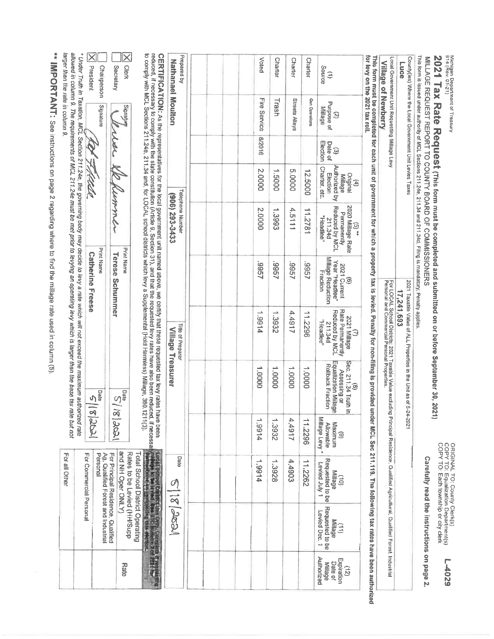Michigan Depattment of Treasury<br>614 (Rev. 01-21)

2021 Tax Rate Request (This form must be completed and submitted on or before September 30, 2021)

MILLAGE REQUEST REPORT TO COUNTY BOARD OF COMMISSIONERS

ORIGINAL TO: County Clerk(s)<br>COPY TO: Equalization Department(s)<br>COPY TO: Each township or city clerk 6Z0t<sup>-1</sup>

Carefully read the instructions on page 2.

This form is issued under authority of MCL Sections 211.24e, 211.34 and 211.34d. Filing is mandatory, Penalty applies Local Government Unit Requesting Millage Levy County(ies) Where the Local Government Unit Levies Taxes Village of Newberry **Luce** 2021 Taxable Value of ALL Properties in the Unit as of 5-24-2021 For LOCAL School Districts: 2021 Taxable Value excluding Principal Residence. Qualified Agricultural, Qualified Forrest, Industrial<br>Personal and Commercial Personal Properties. 17,241,693

This form must be completed for each unit of government for which a property tax is levied. Penatty for non-filling is provided under MCL Sec 211.119. The following tax rates have been authorized<br>for levy on the 2021 tax r

| X Clerk                                                                                            |                                                                                                                                                                                                                                                                                                                                                                                                                                     |                                           |  | Voted        | <b>Charter</b> | <b>Charter</b>        | <b>Charter</b> |                                                                                              |
|----------------------------------------------------------------------------------------------------|-------------------------------------------------------------------------------------------------------------------------------------------------------------------------------------------------------------------------------------------------------------------------------------------------------------------------------------------------------------------------------------------------------------------------------------|-------------------------------------------|--|--------------|----------------|-----------------------|----------------|----------------------------------------------------------------------------------------------|
| Secretary                                                                                          |                                                                                                                                                                                                                                                                                                                                                                                                                                     | Prepared by                               |  |              |                |                       |                | $\begin{array}{c}\n\text{Source} \\ \text{Source}\n\end{array}$                              |
|                                                                                                    |                                                                                                                                                                                                                                                                                                                                                                                                                                     | <b>Nathanael Mouthon</b>                  |  | Fire Service | Trash          | <b>Streets Alleys</b> | Gen Operations | Purpose of<br>Millage<br>$\widehat{c}$                                                       |
|                                                                                                    |                                                                                                                                                                                                                                                                                                                                                                                                                                     |                                           |  | 9102/8       |                |                       |                | Election<br>Date of<br>$\widehat{\omega}$                                                    |
| Senay Septemmer                                                                                    |                                                                                                                                                                                                                                                                                                                                                                                                                                     |                                           |  | 2.0000       | 1.5000         | 0000'S                | 12.5000        | Charter, etc.<br>Anthorized by<br>Election<br>Original<br>Millage<br>E                       |
|                                                                                                    |                                                                                                                                                                                                                                                                                                                                                                                                                                     | <b>Telephone Number</b><br>(906) 293-3433 |  | 2.0000       | 1.3993         | 4.5111                | 11.2781        | 2020 Millage Rate<br>Reduced by MCL<br>Permanently<br>"eadbee"<br>211.34d<br>$\frac{1}{2}$   |
| Print Name<br><b>Terese Schummer</b>                                                               |                                                                                                                                                                                                                                                                                                                                                                                                                                     |                                           |  | 1995         | /966           | 19957                 | 19957          | Millage Reduction<br>Year "Headlee"<br>2021 Current<br>Fraction<br>$\circledcirc$            |
|                                                                                                    |                                                                                                                                                                                                                                                                                                                                                                                                                                     | Title of Preparer<br>Village Treasurer    |  | 1.9914       | 1.3932         | 4.4917                | 11.2296        | Rate Permanently<br>Reduced by MCL<br>2021 Millage<br>" <sub>Headlee</sub> "<br>211.34d<br>Э |
|                                                                                                    | reduced, if necessary to comply with the state constitution (Article 9, Section 31), and that the requested levy rates have also been reduced<br>to comply with MCL Sections 211.24e, 211.34 and, for LOCAL school districts which levy a Supplemental (Hold Harmless) Millage, 380.12<br>CERTIFICATION: As the representatives for the local government unit named above, we certify that these requested tax levy rates have been |                                           |  | 00001        | 1.0000         | 1.0000                | 1.0000         | Equalization Millage<br>(8)<br>Sec. 211.34 Truth in<br>Rollback Fraction<br>Assessing or     |
| $ S/S _{S}$                                                                                        | (11(3).<br>1, if necessaly                                                                                                                                                                                                                                                                                                                                                                                                          |                                           |  | 1,9914       | 1.3932         | 4.4917                | 11.2296        | Millage Levy*<br>Maximum<br>Allowable<br>ම                                                   |
| <b>For principal Residence Original</b><br><b>and NH Oper ONLY)</b><br>Rates to be Levied (HH/Supp | Total School District Operating                                                                                                                                                                                                                                                                                                                                                                                                     | Date                                      |  | 1.9914       | 1.3928         | 4.4903                | 11.2262        | Requested to be<br>Levied July 1<br>(10)<br>Milage                                           |
|                                                                                                    |                                                                                                                                                                                                                                                                                                                                                                                                                                     | C20C 21 3                                 |  |              |                |                       |                | Requested to be<br>Levied Dec. 1<br>$\begin{pmatrix} 111 \\ 111 \end{pmatrix}$               |
| Rate                                                                                               |                                                                                                                                                                                                                                                                                                                                                                                                                                     |                                           |  |              |                |                       |                | Authorized<br>$\begin{pmatrix} 72 \\ \text{Expiration} \end{pmatrix}$<br>Date of<br>Millage  |

\*\* IMPORTANT: See instructions on page 2 regarding where to find the millage rate used in column (5)

larger than the rate in column 9.

X President

73430C

**Print Name** 

**Catherine Freese** 

 $|82|3|3$ 

For all Other

For Principal Residence, Qualified<br>Ag, Qualified Forest and Industrial<br>Personal

For Commercial Personal

Chairperson Secretary

Signature

\* Under Truth in Taxation, MCL Section 211.24e, the governing body may decide to levy a rate which will not exceed the maximum authorized rate<br>allowed in column 9. The requirements of MCL 211.24e must be met prior to levyi